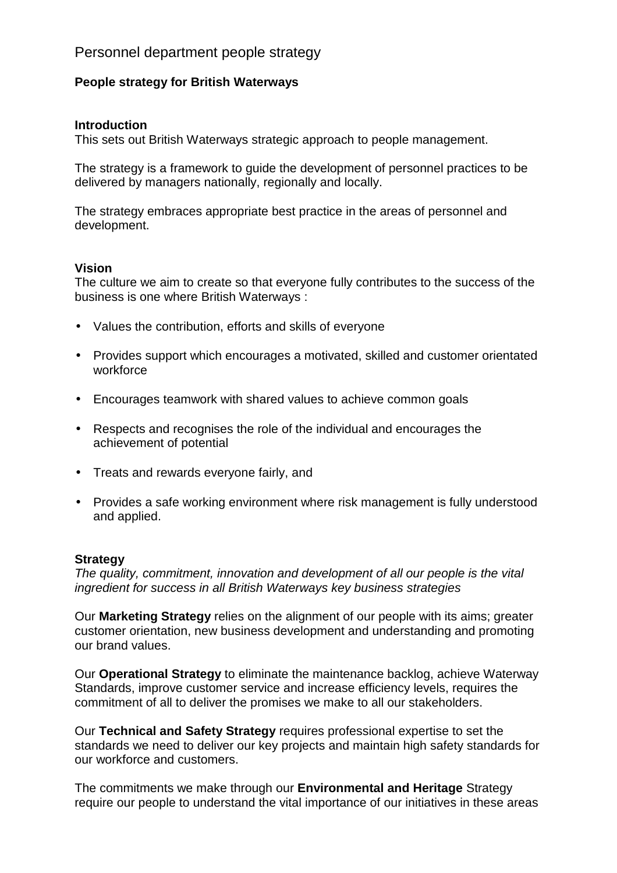# Personnel department people strategy

# **People strategy for British Waterways**

# **Introduction**

This sets out British Waterways strategic approach to people management.

The strategy is a framework to guide the development of personnel practices to be delivered by managers nationally, regionally and locally.

The strategy embraces appropriate best practice in the areas of personnel and development.

# **Vision**

The culture we aim to create so that everyone fully contributes to the success of the business is one where British Waterways :

- Values the contribution, efforts and skills of everyone
- Provides support which encourages a motivated, skilled and customer orientated workforce
- Encourages teamwork with shared values to achieve common goals
- Respects and recognises the role of the individual and encourages the achievement of potential
- Treats and rewards everyone fairly, and
- Provides a safe working environment where risk management is fully understood and applied.

#### **Strategy**

*The quality, commitment, innovation and development of all our people is the vital ingredient for success in all British Waterways key business strategies*

Our **Marketing Strategy** relies on the alignment of our people with its aims; greater customer orientation, new business development and understanding and promoting our brand values.

Our **Operational Strategy** to eliminate the maintenance backlog, achieve Waterway Standards, improve customer service and increase efficiency levels, requires the commitment of all to deliver the promises we make to all our stakeholders.

Our **Technical and Safety Strategy** requires professional expertise to set the standards we need to deliver our key projects and maintain high safety standards for our workforce and customers.

The commitments we make through our **Environmental and Heritage** Strategy require our people to understand the vital importance of our initiatives in these areas